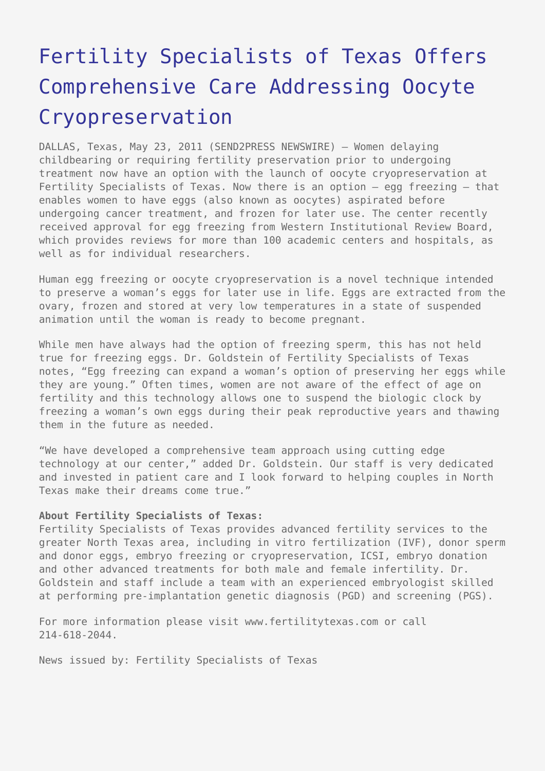## [Fertility Specialists of Texas Offers](https://www.send2press.com/wire/2011-05-0523-005-oocyte-cryopreservation/) [Comprehensive Care Addressing Oocyte](https://www.send2press.com/wire/2011-05-0523-005-oocyte-cryopreservation/) [Cryopreservation](https://www.send2press.com/wire/2011-05-0523-005-oocyte-cryopreservation/)

DALLAS, Texas, May 23, 2011 (SEND2PRESS NEWSWIRE) — Women delaying childbearing or requiring fertility preservation prior to undergoing treatment now have an option with the launch of oocyte cryopreservation at Fertility Specialists of Texas. Now there is an option – egg freezing – that enables women to have eggs (also known as oocytes) aspirated before undergoing cancer treatment, and frozen for later use. The center recently received approval for egg freezing from Western Institutional Review Board, which provides reviews for more than 100 academic centers and hospitals, as well as for individual researchers.

Human egg freezing or oocyte cryopreservation is a novel technique intended to preserve a woman's eggs for later use in life. Eggs are extracted from the ovary, frozen and stored at very low temperatures in a state of suspended animation until the woman is ready to become pregnant.

While men have always had the option of freezing sperm, this has not held true for freezing eggs. Dr. Goldstein of Fertility Specialists of Texas notes, "Egg freezing can expand a woman's option of preserving her eggs while they are young." Often times, women are not aware of the effect of age on fertility and this technology allows one to suspend the biologic clock by freezing a woman's own eggs during their peak reproductive years and thawing them in the future as needed.

"We have developed a comprehensive team approach using cutting edge technology at our center," added Dr. Goldstein. Our staff is very dedicated and invested in patient care and I look forward to helping couples in North Texas make their dreams come true."

## **About Fertility Specialists of Texas:**

Fertility Specialists of Texas provides advanced fertility services to the greater North Texas area, including in vitro fertilization (IVF), donor sperm and donor eggs, embryo freezing or cryopreservation, ICSI, embryo donation and other advanced treatments for both male and female infertility. Dr. Goldstein and staff include a team with an experienced embryologist skilled at performing pre-implantation genetic diagnosis (PGD) and screening (PGS).

For more information please visit www.fertilitytexas.com or call 214-618-2044.

News issued by: Fertility Specialists of Texas